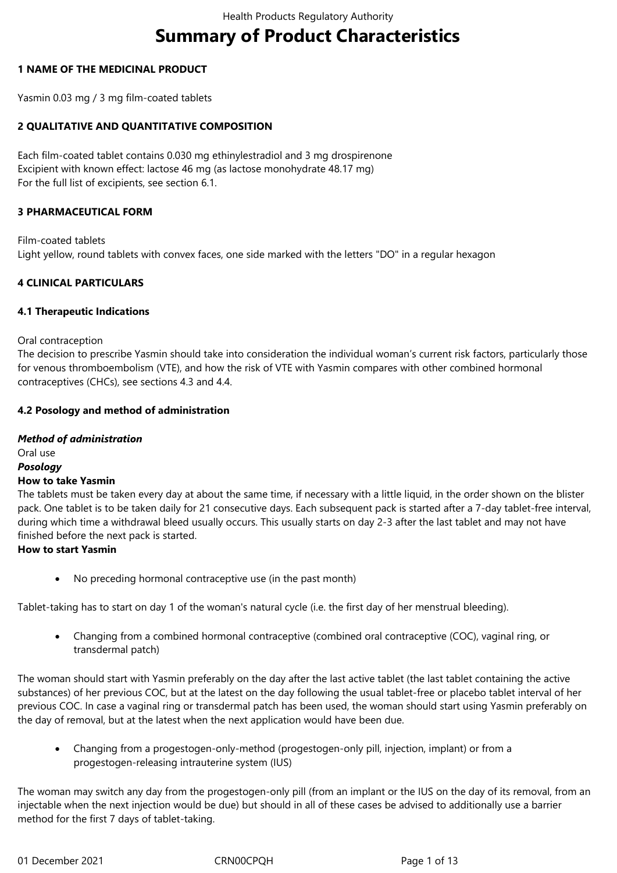# **Summary of Product Characteristics**

#### **1 NAME OF THE MEDICINAL PRODUCT**

Yasmin 0.03 mg / 3 mg film-coated tablets

#### **2 QUALITATIVE AND QUANTITATIVE COMPOSITION**

Each film-coated tablet contains 0.030 mg ethinylestradiol and 3 mg drospirenone Excipient with known effect: lactose 46 mg (as lactose monohydrate 48.17 mg) For the full list of excipients, see section 6.1.

#### **3 PHARMACEUTICAL FORM**

Film-coated tablets Light yellow, round tablets with convex faces, one side marked with the letters "DO" in a regular hexagon

#### **4 CLINICAL PARTICULARS**

#### **4.1 Therapeutic Indications**

#### Oral contraception

The decision to prescribe Yasmin should take into consideration the individual woman's current risk factors, particularly those for venous thromboembolism (VTE), and how the risk of VTE with Yasmin compares with other combined hormonal contraceptives (CHCs), see sections 4.3 and 4.4.

#### **4.2 Posology and method of administration**

#### *Method of administration* Oral use *Posology* **How to take Yasmin**

The tablets must be taken every day at about the same time, if necessary with a little liquid, in the order shown on the blister pack. One tablet is to be taken daily for 21 consecutive days. Each subsequent pack is started after a 7-day tablet-free interval, during which time a withdrawal bleed usually occurs. This usually starts on day 2-3 after the last tablet and may not have finished before the next pack is started.

#### **How to start Yasmin**

No preceding hormonal contraceptive use (in the past month)

Tablet-taking has to start on day 1 of the woman's natural cycle (i.e. the first day of her menstrual bleeding).

 Changing from a combined hormonal contraceptive (combined oral contraceptive (COC), vaginal ring, or transdermal patch)

The woman should start with Yasmin preferably on the day after the last active tablet (the last tablet containing the active substances) of her previous COC, but at the latest on the day following the usual tablet-free or placebo tablet interval of her previous COC. In case a vaginal ring or transdermal patch has been used, the woman should start using Yasmin preferably on the day of removal, but at the latest when the next application would have been due.

 Changing from a progestogen-only-method (progestogen-only pill, injection, implant) or from a progestogen-releasing intrauterine system (IUS)

The woman may switch any day from the progestogen-only pill (from an implant or the IUS on the day of its removal, from an injectable when the next injection would be due) but should in all of these cases be advised to additionally use a barrier method for the first 7 days of tablet-taking.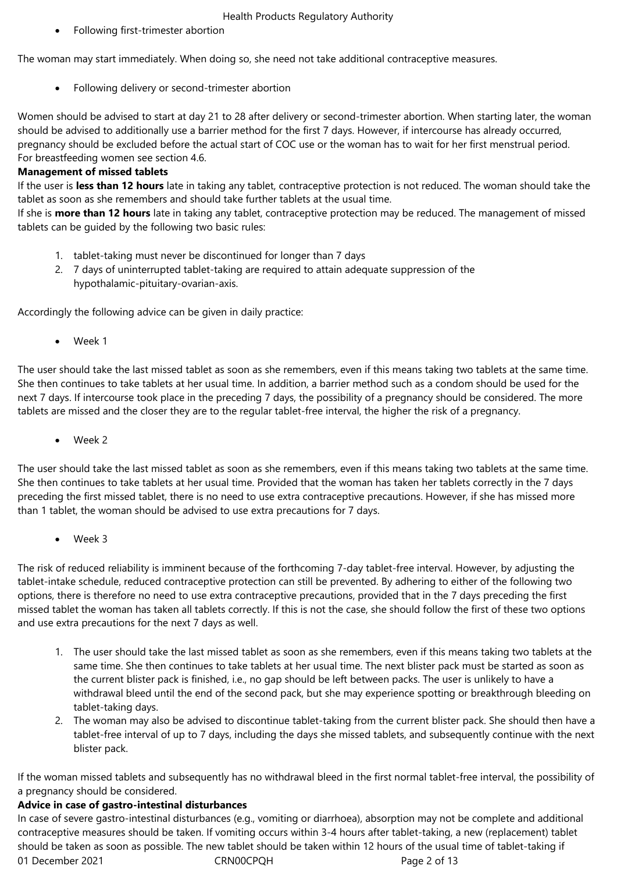Following first-trimester abortion

The woman may start immediately. When doing so, she need not take additional contraceptive measures.

Following delivery or second-trimester abortion

Women should be advised to start at day 21 to 28 after delivery or second-trimester abortion. When starting later, the woman should be advised to additionally use a barrier method for the first 7 days. However, if intercourse has already occurred, pregnancy should be excluded before the actual start of COC use or the woman has to wait for her first menstrual period. For breastfeeding women see section 4.6.

# **Management of missed tablets**

If the user is **less than 12 hours** late in taking any tablet, contraceptive protection is not reduced. The woman should take the tablet as soon as she remembers and should take further tablets at the usual time.

If she is **more than 12 hours** late in taking any tablet, contraceptive protection may be reduced. The management of missed tablets can be guided by the following two basic rules:

- 1. tablet-taking must never be discontinued for longer than 7 days
- 2. 7 days of uninterrupted tablet-taking are required to attain adequate suppression of the hypothalamic-pituitary-ovarian-axis.

Accordingly the following advice can be given in daily practice:

Week 1

The user should take the last missed tablet as soon as she remembers, even if this means taking two tablets at the same time. She then continues to take tablets at her usual time. In addition, a barrier method such as a condom should be used for the next 7 days. If intercourse took place in the preceding 7 days, the possibility of a pregnancy should be considered. The more tablets are missed and the closer they are to the regular tablet-free interval, the higher the risk of a pregnancy.

Week 2

The user should take the last missed tablet as soon as she remembers, even if this means taking two tablets at the same time. She then continues to take tablets at her usual time. Provided that the woman has taken her tablets correctly in the 7 days preceding the first missed tablet, there is no need to use extra contraceptive precautions. However, if she has missed more than 1 tablet, the woman should be advised to use extra precautions for 7 days.

Week 3

The risk of reduced reliability is imminent because of the forthcoming 7-day tablet-free interval. However, by adjusting the tablet-intake schedule, reduced contraceptive protection can still be prevented. By adhering to either of the following two options, there is therefore no need to use extra contraceptive precautions, provided that in the 7 days preceding the first missed tablet the woman has taken all tablets correctly. If this is not the case, she should follow the first of these two options and use extra precautions for the next 7 days as well.

- 1. The user should take the last missed tablet as soon as she remembers, even if this means taking two tablets at the same time. She then continues to take tablets at her usual time. The next blister pack must be started as soon as the current blister pack is finished, i.e., no gap should be left between packs. The user is unlikely to have a withdrawal bleed until the end of the second pack, but she may experience spotting or breakthrough bleeding on tablet-taking days.
- 2. The woman may also be advised to discontinue tablet-taking from the current blister pack. She should then have a tablet-free interval of up to 7 days, including the days she missed tablets, and subsequently continue with the next blister pack.

If the woman missed tablets and subsequently has no withdrawal bleed in the first normal tablet-free interval, the possibility of a pregnancy should be considered.

# **Advice in case of gastro-intestinal disturbances**

01 December 2021 CRN00CPQH Page 2 of 13 In case of severe gastro-intestinal disturbances (e.g., vomiting or diarrhoea), absorption may not be complete and additional contraceptive measures should be taken. If vomiting occurs within 3-4 hours after tablet-taking, a new (replacement) tablet should be taken as soon as possible. The new tablet should be taken within 12 hours of the usual time of tablet-taking if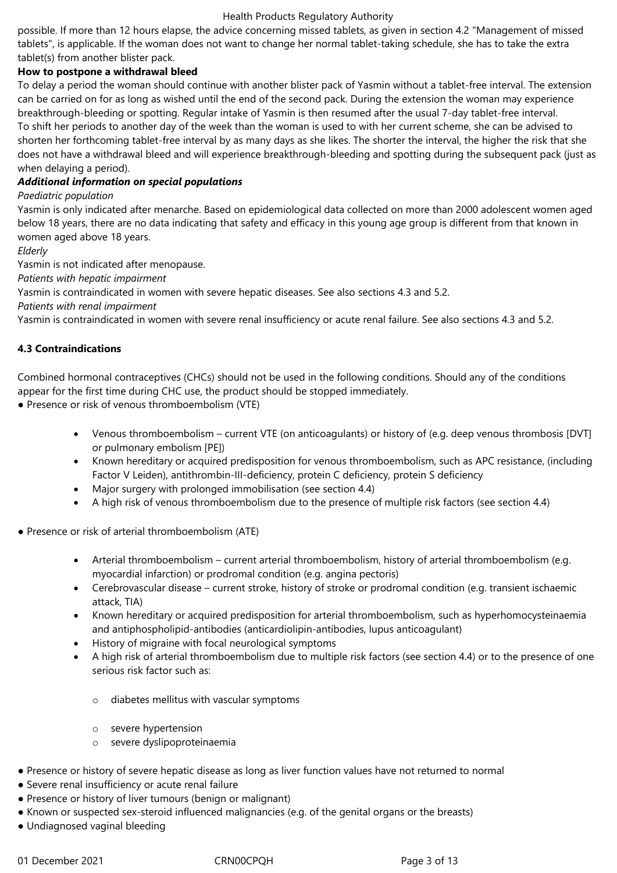possible. If more than 12 hours elapse, the advice concerning missed tablets, as given in section 4.2 "Management of missed tablets", is applicable. If the woman does not want to change her normal tablet-taking schedule, she has to take the extra tablet(s) from another blister pack.

# **How to postpone a withdrawal bleed**

To delay a period the woman should continue with another blister pack of Yasmin without a tablet-free interval. The extension can be carried on for as long as wished until the end of the second pack. During the extension the woman may experience breakthrough-bleeding or spotting. Regular intake of Yasmin is then resumed after the usual 7-day tablet-free interval. To shift her periods to another day of the week than the woman is used to with her current scheme, she can be advised to shorten her forthcoming tablet-free interval by as many days as she likes. The shorter the interval, the higher the risk that she does not have a withdrawal bleed and will experience breakthrough-bleeding and spotting during the subsequent pack (just as when delaying a period).

# *Additional information on special populations*

# *Paediatric population*

Yasmin is only indicated after menarche. Based on epidemiological data collected on more than 2000 adolescent women aged below 18 years, there are no data indicating that safety and efficacy in this young age group is different from that known in women aged above 18 years.

*Elderly*

Yasmin is not indicated after menopause.

*Patients with hepatic impairment*

Yasmin is contraindicated in women with severe hepatic diseases. See also sections 4.3 and 5.2.

*Patients with renal impairment*

Yasmin is contraindicated in women with severe renal insufficiency or acute renal failure. See also sections 4.3 and 5.2.

# **4.3 Contraindications**

Combined hormonal contraceptives (CHCs) should not be used in the following conditions. Should any of the conditions appear for the first time during CHC use, the product should be stopped immediately.

- Presence or risk of venous thromboembolism (VTE)
	- Venous thromboembolism current VTE (on anticoagulants) or history of (e.g. deep venous thrombosis [DVT] or pulmonary embolism [PE])
	- Known hereditary or acquired predisposition for venous thromboembolism, such as APC resistance, (including Factor V Leiden), antithrombin-III-deficiency, protein C deficiency, protein S deficiency
	- Major surgery with prolonged immobilisation (see section 4.4)
	- A high risk of venous thromboembolism due to the presence of multiple risk factors (see section 4.4)
- Presence or risk of arterial thromboembolism (ATE)
	- Arterial thromboembolism current arterial thromboembolism, history of arterial thromboembolism (e.g. myocardial infarction) or prodromal condition (e.g. angina pectoris)
	- Cerebrovascular disease current stroke, history of stroke or prodromal condition (e.g. transient ischaemic attack, TIA)
	- Known hereditary or acquired predisposition for arterial thromboembolism, such as hyperhomocysteinaemia and antiphospholipid-antibodies (anticardiolipin-antibodies, lupus anticoagulant)
	- History of migraine with focal neurological symptoms
	- A high risk of arterial thromboembolism due to multiple risk factors (see section 4.4) or to the presence of one serious risk factor such as:
		- o diabetes mellitus with vascular symptoms
		- o severe hypertension
		- o severe dyslipoproteinaemia
- Presence or history of severe hepatic disease as long as liver function values have not returned to normal
- Severe renal insufficiency or acute renal failure
- Presence or history of liver tumours (benign or malignant)
- Known or suspected sex-steroid influenced malignancies (e.g. of the genital organs or the breasts)
- Undiagnosed vaginal bleeding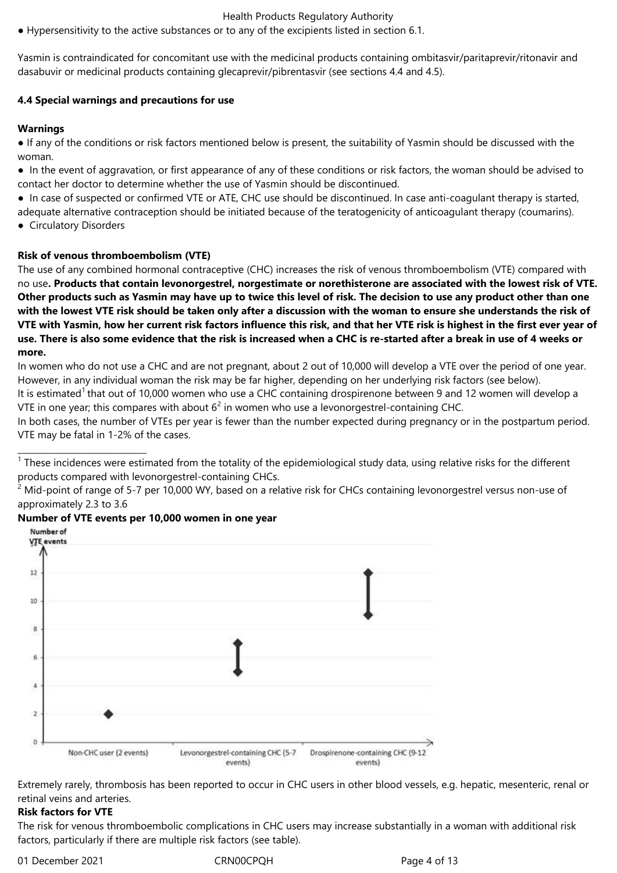● Hypersensitivity to the active substances or to any of the excipients listed in section 6.1.

Yasmin is contraindicated for concomitant use with the medicinal products containing ombitasvir/paritaprevir/ritonavir and dasabuvir or medicinal products containing glecaprevir/pibrentasvir (see sections 4.4 and 4.5).

#### **4.4 Special warnings and precautions for use**

#### **Warnings**

● If any of the conditions or risk factors mentioned below is present, the suitability of Yasmin should be discussed with the woman.

● In the event of aggravation, or first appearance of any of these conditions or risk factors, the woman should be advised to contact her doctor to determine whether the use of Yasmin should be discontinued.

● In case of suspected or confirmed VTE or ATE, CHC use should be discontinued. In case anti-coagulant therapy is started,

adequate alternative contraception should be initiated because of the teratogenicity of anticoagulant therapy (coumarins).

● Circulatory Disorders

\_\_\_\_\_\_\_\_\_\_\_\_\_\_\_\_\_\_\_\_\_\_\_\_\_\_\_\_\_\_

#### **Risk of venous thromboembolism (VTE)**

The use of any combined hormonal contraceptive (CHC) increases the risk of venous thromboembolism (VTE) compared with no use**. Products that contain levonorgestrel, norgestimate or norethisterone are associated with the lowest risk of VTE. Other products such as Yasmin may have up to twice this level of risk. The decision to use any product other than one with the lowest VTE risk should be taken only after a discussion with the woman to ensure she understands the risk of VTE with Yasmin, how her current risk factors influence this risk, and that her VTE risk is highest in the first ever year of use. There is also some evidence that the risk is increased when a CHC is re-started after a break in use of 4 weeks or more.**

In women who do not use a CHC and are not pregnant, about 2 out of 10,000 will develop a VTE over the period of one year. However, in any individual woman the risk may be far higher, depending on her underlying risk factors (see below). It is estimated<sup>1</sup> that out of 10,000 women who use a CHC containing drospirenone between 9 and 12 women will develop a

VTE in one year; this compares with about  $6^2$  in women who use a levonorgestrel-containing CHC.

In both cases, the number of VTEs per year is fewer than the number expected during pregnancy or in the postpartum period. VTE may be fatal in 1-2% of the cases.

 $1$  These incidences were estimated from the totality of the epidemiological study data, using relative risks for the different products compared with levonorgestrel-containing CHCs.

 $2$  Mid-point of range of 5-7 per 10,000 WY, based on a relative risk for CHCs containing levonorgestrel versus non-use of approximately 2.3 to 3.6

#### **Number of VTE events per 10,000 women in one year**



Extremely rarely, thrombosis has been reported to occur in CHC users in other blood vessels, e.g. hepatic, mesenteric, renal or retinal veins and arteries.

# **Risk factors for VTE**

The risk for venous thromboembolic complications in CHC users may increase substantially in a woman with additional risk factors, particularly if there are multiple risk factors (see table).

01 December 2021 CRN00CPQH Page 4 of 13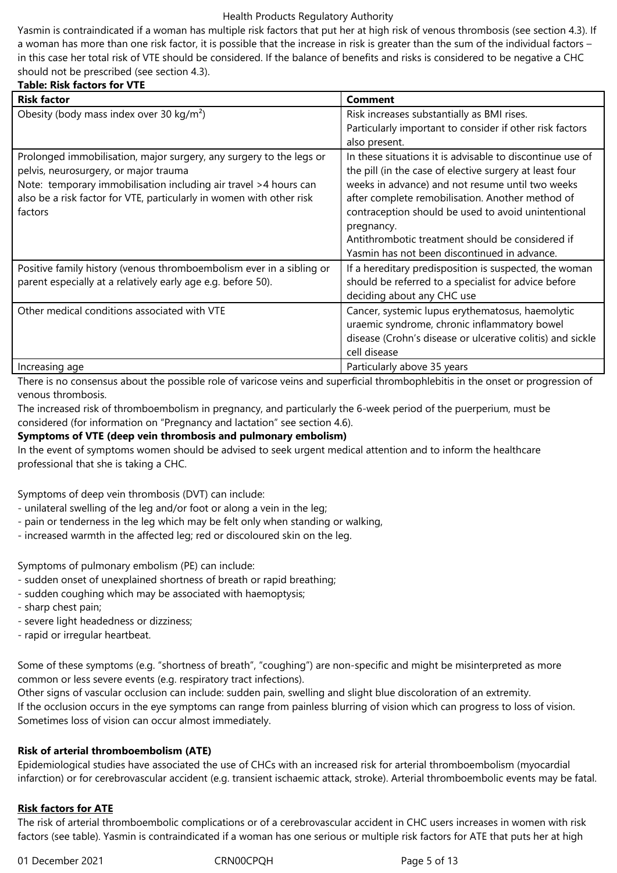Yasmin is contraindicated if a woman has multiple risk factors that put her at high risk of venous thrombosis (see section 4.3). If a woman has more than one risk factor, it is possible that the increase in risk is greater than the sum of the individual factors – in this case her total risk of VTE should be considered. If the balance of benefits and risks is considered to be negative a CHC should not be prescribed (see section 4.3).

# **Table: Risk factors for VTE**

| <b>Risk factor</b>                                                                                                                                                                                                                                                  | Comment                                                                                                                                                                                                                                                                                                                                                                                               |
|---------------------------------------------------------------------------------------------------------------------------------------------------------------------------------------------------------------------------------------------------------------------|-------------------------------------------------------------------------------------------------------------------------------------------------------------------------------------------------------------------------------------------------------------------------------------------------------------------------------------------------------------------------------------------------------|
| Obesity (body mass index over 30 $kg/m2$ )                                                                                                                                                                                                                          | Risk increases substantially as BMI rises.<br>Particularly important to consider if other risk factors<br>also present.                                                                                                                                                                                                                                                                               |
| Prolonged immobilisation, major surgery, any surgery to the legs or<br>pelvis, neurosurgery, or major trauma<br>Note: temporary immobilisation including air travel >4 hours can<br>also be a risk factor for VTE, particularly in women with other risk<br>factors | In these situations it is advisable to discontinue use of<br>the pill (in the case of elective surgery at least four<br>weeks in advance) and not resume until two weeks<br>after complete remobilisation. Another method of<br>contraception should be used to avoid unintentional<br>pregnancy.<br>Antithrombotic treatment should be considered if<br>Yasmin has not been discontinued in advance. |
| Positive family history (venous thromboembolism ever in a sibling or<br>parent especially at a relatively early age e.g. before 50).                                                                                                                                | If a hereditary predisposition is suspected, the woman<br>should be referred to a specialist for advice before<br>deciding about any CHC use                                                                                                                                                                                                                                                          |
| Other medical conditions associated with VTE                                                                                                                                                                                                                        | Cancer, systemic lupus erythematosus, haemolytic<br>uraemic syndrome, chronic inflammatory bowel<br>disease (Crohn's disease or ulcerative colitis) and sickle<br>cell disease                                                                                                                                                                                                                        |
| Increasing age                                                                                                                                                                                                                                                      | Particularly above 35 years                                                                                                                                                                                                                                                                                                                                                                           |

There is no consensus about the possible role of varicose veins and superficial thrombophlebitis in the onset or progression of venous thrombosis.

The increased risk of thromboembolism in pregnancy, and particularly the 6-week period of the puerperium, must be considered (for information on "Pregnancy and lactation" see section 4.6).

#### **Symptoms of VTE (deep vein thrombosis and pulmonary embolism)**

In the event of symptoms women should be advised to seek urgent medical attention and to inform the healthcare professional that she is taking a CHC.

Symptoms of deep vein thrombosis (DVT) can include:

- unilateral swelling of the leg and/or foot or along a vein in the leg;
- pain or tenderness in the leg which may be felt only when standing or walking,
- increased warmth in the affected leg; red or discoloured skin on the leg.

Symptoms of pulmonary embolism (PE) can include:

- sudden onset of unexplained shortness of breath or rapid breathing;
- sudden coughing which may be associated with haemoptysis;
- sharp chest pain;
- severe light headedness or dizziness;
- rapid or irregular heartbeat.

Some of these symptoms (e.g. "shortness of breath", "coughing") are non-specific and might be misinterpreted as more common or less severe events (e.g. respiratory tract infections).

Other signs of vascular occlusion can include: sudden pain, swelling and slight blue discoloration of an extremity. If the occlusion occurs in the eye symptoms can range from painless blurring of vision which can progress to loss of vision. Sometimes loss of vision can occur almost immediately.

#### **Risk of arterial thromboembolism (ATE)**

Epidemiological studies have associated the use of CHCs with an increased risk for arterial thromboembolism (myocardial infarction) or for cerebrovascular accident (e.g. transient ischaemic attack, stroke). Arterial thromboembolic events may be fatal.

# **Risk factors for ATE**

The risk of arterial thromboembolic complications or of a cerebrovascular accident in CHC users increases in women with risk factors (see table). Yasmin is contraindicated if a woman has one serious or multiple risk factors for ATE that puts her at high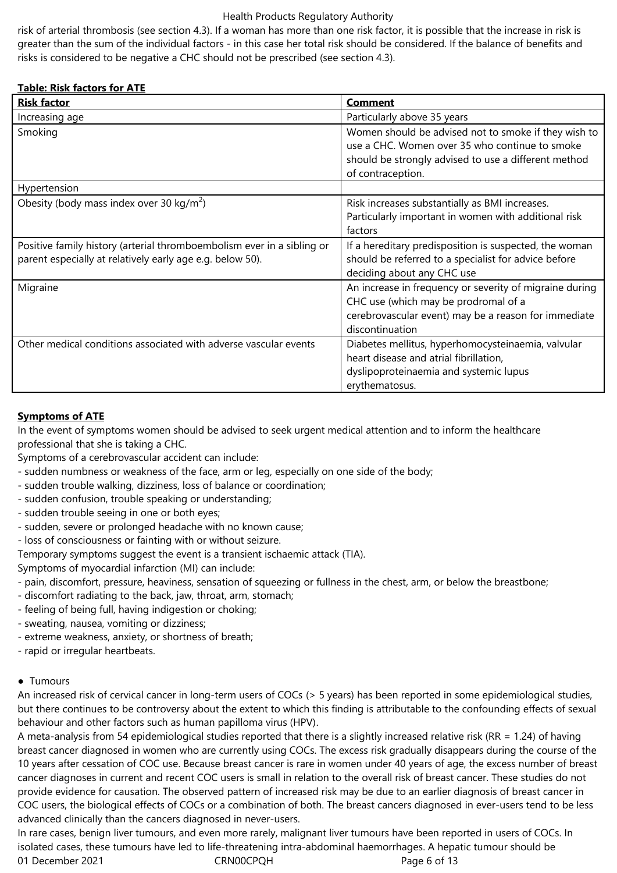risk of arterial thrombosis (see section 4.3). If a woman has more than one risk factor, it is possible that the increase in risk is greater than the sum of the individual factors - in this case her total risk should be considered. If the balance of benefits and risks is considered to be negative a CHC should not be prescribed (see section 4.3).

# **Table: Risk factors for ATE**

| <b>Risk factor</b>                                                                                                                  | <b>Comment</b>                                                                                                                                                                      |
|-------------------------------------------------------------------------------------------------------------------------------------|-------------------------------------------------------------------------------------------------------------------------------------------------------------------------------------|
| Increasing age                                                                                                                      | Particularly above 35 years                                                                                                                                                         |
| Smoking                                                                                                                             | Women should be advised not to smoke if they wish to<br>use a CHC. Women over 35 who continue to smoke<br>should be strongly advised to use a different method<br>of contraception. |
| Hypertension                                                                                                                        |                                                                                                                                                                                     |
| Obesity (body mass index over 30 kg/m <sup>2</sup> )                                                                                | Risk increases substantially as BMI increases.<br>Particularly important in women with additional risk<br>factors                                                                   |
| Positive family history (arterial thromboembolism ever in a sibling or<br>parent especially at relatively early age e.g. below 50). | If a hereditary predisposition is suspected, the woman<br>should be referred to a specialist for advice before<br>deciding about any CHC use                                        |
| Migraine                                                                                                                            | An increase in frequency or severity of migraine during<br>CHC use (which may be prodromal of a<br>cerebrovascular event) may be a reason for immediate<br>discontinuation          |
| Other medical conditions associated with adverse vascular events                                                                    | Diabetes mellitus, hyperhomocysteinaemia, valvular<br>heart disease and atrial fibrillation,<br>dyslipoproteinaemia and systemic lupus<br>erythematosus.                            |

#### **Symptoms of ATE**

In the event of symptoms women should be advised to seek urgent medical attention and to inform the healthcare professional that she is taking a CHC.

Symptoms of a cerebrovascular accident can include:

- sudden numbness or weakness of the face, arm or leg, especially on one side of the body;
- sudden trouble walking, dizziness, loss of balance or coordination;
- sudden confusion, trouble speaking or understanding;
- sudden trouble seeing in one or both eyes;
- sudden, severe or prolonged headache with no known cause;
- loss of consciousness or fainting with or without seizure.
- Temporary symptoms suggest the event is a transient ischaemic attack (TIA).

Symptoms of myocardial infarction (MI) can include:

- pain, discomfort, pressure, heaviness, sensation of squeezing or fullness in the chest, arm, or below the breastbone;
- discomfort radiating to the back, jaw, throat, arm, stomach;
- feeling of being full, having indigestion or choking;
- sweating, nausea, vomiting or dizziness;
- extreme weakness, anxiety, or shortness of breath;
- rapid or irregular heartbeats.

#### ● Tumours

An increased risk of cervical cancer in long-term users of COCs (> 5 years) has been reported in some epidemiological studies, but there continues to be controversy about the extent to which this finding is attributable to the confounding effects of sexual behaviour and other factors such as human papilloma virus (HPV).

A meta-analysis from 54 epidemiological studies reported that there is a slightly increased relative risk (RR = 1.24) of having breast cancer diagnosed in women who are currently using COCs. The excess risk gradually disappears during the course of the 10 years after cessation of COC use. Because breast cancer is rare in women under 40 years of age, the excess number of breast cancer diagnoses in current and recent COC users is small in relation to the overall risk of breast cancer. These studies do not provide evidence for causation. The observed pattern of increased risk may be due to an earlier diagnosis of breast cancer in COC users, the biological effects of COCs or a combination of both. The breast cancers diagnosed in ever-users tend to be less advanced clinically than the cancers diagnosed in never-users.

01 December 2021 CRN00CPQH Page 6 of 13 In rare cases, benign liver tumours, and even more rarely, malignant liver tumours have been reported in users of COCs. In isolated cases, these tumours have led to life-threatening intra-abdominal haemorrhages. A hepatic tumour should be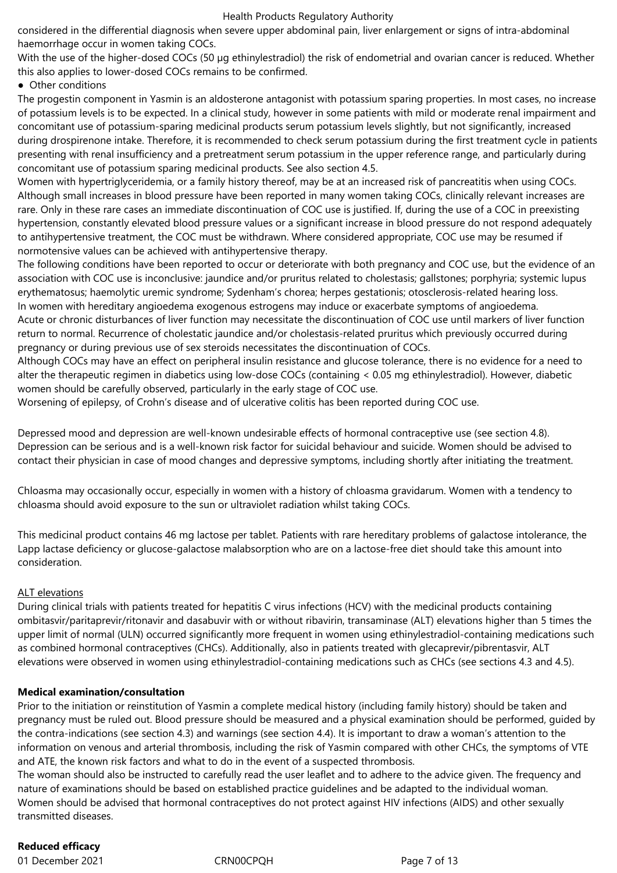considered in the differential diagnosis when severe upper abdominal pain, liver enlargement or signs of intra-abdominal haemorrhage occur in women taking COCs.

With the use of the higher-dosed COCs (50 µg ethinylestradiol) the risk of endometrial and ovarian cancer is reduced. Whether this also applies to lower-dosed COCs remains to be confirmed.

# ● Other conditions

The progestin component in Yasmin is an aldosterone antagonist with potassium sparing properties. In most cases, no increase of potassium levels is to be expected. In a clinical study, however in some patients with mild or moderate renal impairment and concomitant use of potassium-sparing medicinal products serum potassium levels slightly, but not significantly, increased during drospirenone intake. Therefore, it is recommended to check serum potassium during the first treatment cycle in patients presenting with renal insufficiency and a pretreatment serum potassium in the upper reference range, and particularly during concomitant use of potassium sparing medicinal products. See also section 4.5.

Women with hypertriglyceridemia, or a family history thereof, may be at an increased risk of pancreatitis when using COCs. Although small increases in blood pressure have been reported in many women taking COCs, clinically relevant increases are rare. Only in these rare cases an immediate discontinuation of COC use is justified. If, during the use of a COC in preexisting hypertension, constantly elevated blood pressure values or a significant increase in blood pressure do not respond adequately to antihypertensive treatment, the COC must be withdrawn. Where considered appropriate, COC use may be resumed if normotensive values can be achieved with antihypertensive therapy.

The following conditions have been reported to occur or deteriorate with both pregnancy and COC use, but the evidence of an association with COC use is inconclusive: jaundice and/or pruritus related to cholestasis; gallstones; porphyria; systemic lupus erythematosus; haemolytic uremic syndrome; Sydenham's chorea; herpes gestationis; otosclerosis-related hearing loss. In women with hereditary angioedema exogenous estrogens may induce or exacerbate symptoms of angioedema. Acute or chronic disturbances of liver function may necessitate the discontinuation of COC use until markers of liver function return to normal. Recurrence of cholestatic jaundice and/or cholestasis-related pruritus which previously occurred during pregnancy or during previous use of sex steroids necessitates the discontinuation of COCs.

Although COCs may have an effect on peripheral insulin resistance and glucose tolerance, there is no evidence for a need to alter the therapeutic regimen in diabetics using low-dose COCs (containing < 0.05 mg ethinylestradiol). However, diabetic women should be carefully observed, particularly in the early stage of COC use.

Worsening of epilepsy, of Crohn's disease and of ulcerative colitis has been reported during COC use.

Depressed mood and depression are well-known undesirable effects of hormonal contraceptive use (see section 4.8). Depression can be serious and is a well-known risk factor for suicidal behaviour and suicide. Women should be advised to contact their physician in case of mood changes and depressive symptoms, including shortly after initiating the treatment.

Chloasma may occasionally occur, especially in women with a history of chloasma gravidarum. Women with a tendency to chloasma should avoid exposure to the sun or ultraviolet radiation whilst taking COCs.

This medicinal product contains 46 mg lactose per tablet. Patients with rare hereditary problems of galactose intolerance, the Lapp lactase deficiency or glucose-galactose malabsorption who are on a lactose-free diet should take this amount into consideration.

# ALT elevations

During clinical trials with patients treated for hepatitis C virus infections (HCV) with the medicinal products containing ombitasvir/paritaprevir/ritonavir and dasabuvir with or without ribavirin, transaminase (ALT) elevations higher than 5 times the upper limit of normal (ULN) occurred significantly more frequent in women using ethinylestradiol-containing medications such as combined hormonal contraceptives (CHCs). Additionally, also in patients treated with glecaprevir/pibrentasvir, ALT elevations were observed in women using ethinylestradiol-containing medications such as CHCs (see sections 4.3 and 4.5).

# **Medical examination/consultation**

Prior to the initiation or reinstitution of Yasmin a complete medical history (including family history) should be taken and pregnancy must be ruled out. Blood pressure should be measured and a physical examination should be performed, guided by the contra-indications (see section 4.3) and warnings (see section 4.4). It is important to draw a woman's attention to the information on venous and arterial thrombosis, including the risk of Yasmin compared with other CHCs, the symptoms of VTE and ATE, the known risk factors and what to do in the event of a suspected thrombosis.

The woman should also be instructed to carefully read the user leaflet and to adhere to the advice given. The frequency and nature of examinations should be based on established practice guidelines and be adapted to the individual woman. Women should be advised that hormonal contraceptives do not protect against HIV infections (AIDS) and other sexually transmitted diseases.

# **Reduced efficacy**

01 December 2021 CRN00CPQH Page 7 of 13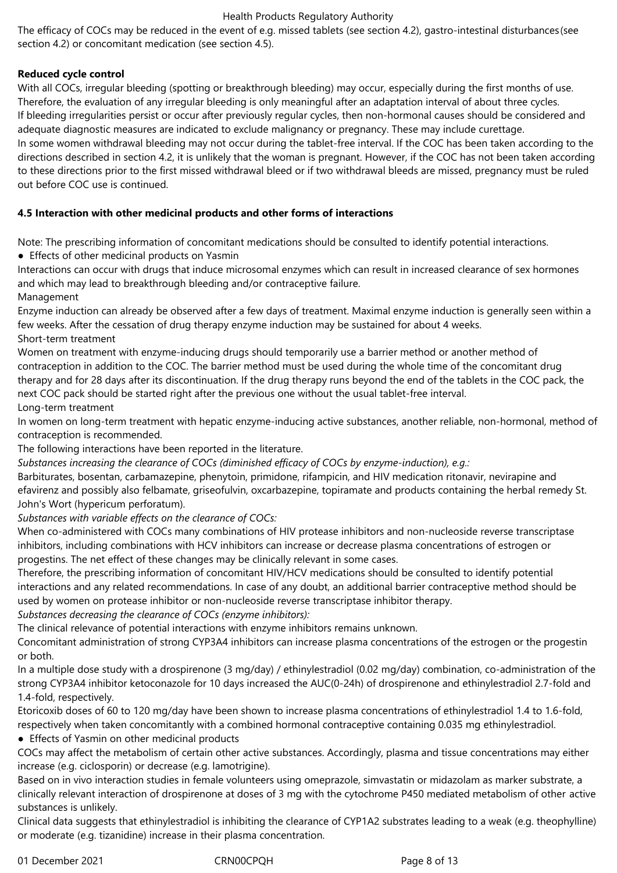The efficacy of COCs may be reduced in the event of e.g. missed tablets (see section 4.2), gastro-intestinal disturbances(see section 4.2) or concomitant medication (see section 4.5).

# **Reduced cycle control**

With all COCs, irregular bleeding (spotting or breakthrough bleeding) may occur, especially during the first months of use. Therefore, the evaluation of any irregular bleeding is only meaningful after an adaptation interval of about three cycles. If bleeding irregularities persist or occur after previously regular cycles, then non-hormonal causes should be considered and adequate diagnostic measures are indicated to exclude malignancy or pregnancy. These may include curettage. In some women withdrawal bleeding may not occur during the tablet-free interval. If the COC has been taken according to the directions described in section 4.2, it is unlikely that the woman is pregnant. However, if the COC has not been taken according to these directions prior to the first missed withdrawal bleed or if two withdrawal bleeds are missed, pregnancy must be ruled out before COC use is continued.

# **4.5 Interaction with other medicinal products and other forms of interactions**

Note: The prescribing information of concomitant medications should be consulted to identify potential interactions.

● Effects of other medicinal products on Yasmin

Interactions can occur with drugs that induce microsomal enzymes which can result in increased clearance of sex hormones and which may lead to breakthrough bleeding and/or contraceptive failure.

Management

Enzyme induction can already be observed after a few days of treatment. Maximal enzyme induction is generally seen within a few weeks. After the cessation of drug therapy enzyme induction may be sustained for about 4 weeks. Short-term treatment

Women on treatment with enzyme-inducing drugs should temporarily use a barrier method or another method of contraception in addition to the COC. The barrier method must be used during the whole time of the concomitant drug therapy and for 28 days after its discontinuation. If the drug therapy runs beyond the end of the tablets in the COC pack, the next COC pack should be started right after the previous one without the usual tablet-free interval.

Long-term treatment

In women on long-term treatment with hepatic enzyme-inducing active substances, another reliable, non-hormonal, method of contraception is recommended.

The following interactions have been reported in the literature.

*Substances increasing the clearance of COCs (diminished efficacy of COCs by enzyme-induction), e.g.:*

Barbiturates, bosentan, carbamazepine, phenytoin, primidone, rifampicin, and HIV medication ritonavir, nevirapine and efavirenz and possibly also felbamate, griseofulvin, oxcarbazepine, topiramate and products containing the herbal remedy St. John's Wort (hypericum perforatum).

*Substances with variable effects on the clearance of COCs:*

When co-administered with COCs many combinations of HIV protease inhibitors and non-nucleoside reverse transcriptase inhibitors, including combinations with HCV inhibitors can increase or decrease plasma concentrations of estrogen or progestins. The net effect of these changes may be clinically relevant in some cases.

Therefore, the prescribing information of concomitant HIV/HCV medications should be consulted to identify potential interactions and any related recommendations. In case of any doubt, an additional barrier contraceptive method should be used by women on protease inhibitor or non-nucleoside reverse transcriptase inhibitor therapy.

*Substances decreasing the clearance of COCs (enzyme inhibitors):*

The clinical relevance of potential interactions with enzyme inhibitors remains unknown.

Concomitant administration of strong CYP3A4 inhibitors can increase plasma concentrations of the estrogen or the progestin or both.

In a multiple dose study with a drospirenone (3 mg/day) / ethinylestradiol (0.02 mg/day) combination, co-administration of the strong CYP3A4 inhibitor ketoconazole for 10 days increased the AUC(0-24h) of drospirenone and ethinylestradiol 2.7-fold and 1.4-fold, respectively.

Etoricoxib doses of 60 to 120 mg/day have been shown to increase plasma concentrations of ethinylestradiol 1.4 to 1.6-fold, respectively when taken concomitantly with a combined hormonal contraceptive containing 0.035 mg ethinylestradiol.

● Effects of Yasmin on other medicinal products

COCs may affect the metabolism of certain other active substances. Accordingly, plasma and tissue concentrations may either increase (e.g. ciclosporin) or decrease (e.g. lamotrigine).

Based on in vivo interaction studies in female volunteers using omeprazole, simvastatin or midazolam as marker substrate, a clinically relevant interaction of drospirenone at doses of 3 mg with the cytochrome P450 mediated metabolism of other active substances is unlikely.

Clinical data suggests that ethinylestradiol is inhibiting the clearance of CYP1A2 substrates leading to a weak (e.g. theophylline) or moderate (e.g. tizanidine) increase in their plasma concentration.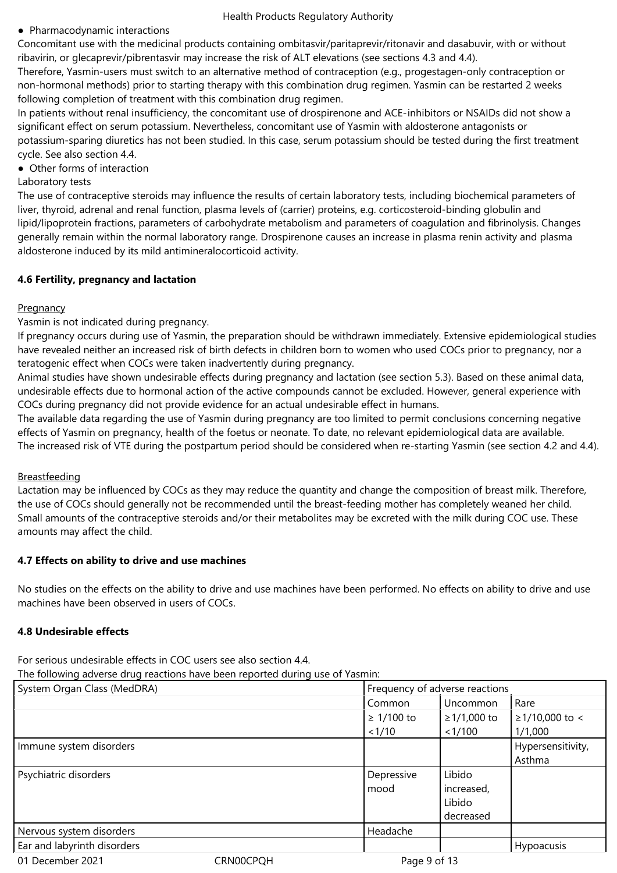#### ● Pharmacodynamic interactions

Concomitant use with the medicinal products containing ombitasvir/paritaprevir/ritonavir and dasabuvir, with or without ribavirin, or glecaprevir/pibrentasvir may increase the risk of ALT elevations (see sections 4.3 and 4.4).

Therefore, Yasmin-users must switch to an alternative method of contraception (e.g., progestagen-only contraception or non-hormonal methods) prior to starting therapy with this combination drug regimen. Yasmin can be restarted 2 weeks following completion of treatment with this combination drug regimen.

In patients without renal insufficiency, the concomitant use of drospirenone and ACE-inhibitors or NSAIDs did not show a significant effect on serum potassium. Nevertheless, concomitant use of Yasmin with aldosterone antagonists or potassium-sparing diuretics has not been studied. In this case, serum potassium should be tested during the first treatment cycle. See also section 4.4.

● Other forms of interaction

#### Laboratory tests

The use of contraceptive steroids may influence the results of certain laboratory tests, including biochemical parameters of liver, thyroid, adrenal and renal function, plasma levels of (carrier) proteins, e.g. corticosteroid-binding globulin and lipid/lipoprotein fractions, parameters of carbohydrate metabolism and parameters of coagulation and fibrinolysis. Changes generally remain within the normal laboratory range. Drospirenone causes an increase in plasma renin activity and plasma aldosterone induced by its mild antimineralocorticoid activity.

#### **4.6 Fertility, pregnancy and lactation**

# **Pregnancy**

Yasmin is not indicated during pregnancy.

If pregnancy occurs during use of Yasmin, the preparation should be withdrawn immediately. Extensive epidemiological studies have revealed neither an increased risk of birth defects in children born to women who used COCs prior to pregnancy, nor a teratogenic effect when COCs were taken inadvertently during pregnancy.

Animal studies have shown undesirable effects during pregnancy and lactation (see section 5.3). Based on these animal data, undesirable effects due to hormonal action of the active compounds cannot be excluded. However, general experience with COCs during pregnancy did not provide evidence for an actual undesirable effect in humans.

The available data regarding the use of Yasmin during pregnancy are too limited to permit conclusions concerning negative effects of Yasmin on pregnancy, health of the foetus or neonate. To date, no relevant epidemiological data are available. The increased risk of VTE during the postpartum period should be considered when re-starting Yasmin (see section 4.2 and 4.4).

# Breastfeeding

Lactation may be influenced by COCs as they may reduce the quantity and change the composition of breast milk. Therefore, the use of COCs should generally not be recommended until the breast-feeding mother has completely weaned her child. Small amounts of the contraceptive steroids and/or their metabolites may be excreted with the milk during COC use. These amounts may affect the child.

# **4.7 Effects on ability to drive and use machines**

No studies on the effects on the ability to drive and use machines have been performed. No effects on ability to drive and use machines have been observed in users of COCs.

# **4.8 Undesirable effects**

For serious undesirable effects in COC users see also section 4.4.

The following adverse drug reactions have been reported during use of Yasmin:

| System Organ Class (MedDRA) |           | Frequency of adverse reactions |               |                      |
|-----------------------------|-----------|--------------------------------|---------------|----------------------|
|                             |           | Common                         | Uncommon      | Rare                 |
|                             |           | $\geq 1/100$ to                | $≥1/1,000$ to | $\geq$ 1/10,000 to < |
|                             |           | 1/10                           | < 1/100       | 1/1,000              |
| Immune system disorders     |           |                                |               | Hypersensitivity,    |
|                             |           |                                |               | Asthma               |
| Psychiatric disorders       |           | Depressive                     | Libido        |                      |
|                             |           | mood                           | increased,    |                      |
|                             |           |                                | Libido        |                      |
|                             |           |                                | decreased     |                      |
| Nervous system disorders    |           | Headache                       |               |                      |
| Ear and labyrinth disorders |           |                                |               | Hypoacusis           |
| 01 December 2021            | CRN00CPQH | Page 9 of 13                   |               |                      |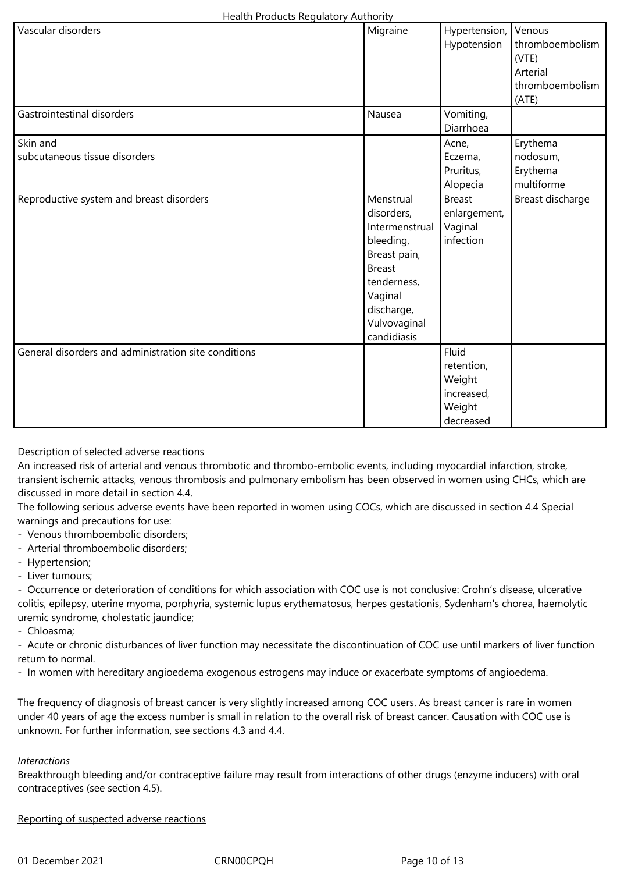| Health Products Regulatory Authority |  |
|--------------------------------------|--|
|--------------------------------------|--|

| Vascular disorders                                   | Migraine       |               | Venous           |
|------------------------------------------------------|----------------|---------------|------------------|
|                                                      |                | Hypertension, |                  |
|                                                      |                | Hypotension   | thromboembolism  |
|                                                      |                |               | (VTE)            |
|                                                      |                |               | Arterial         |
|                                                      |                |               | thromboembolism  |
|                                                      |                |               | (ATE)            |
| Gastrointestinal disorders                           | Nausea         | Vomiting,     |                  |
|                                                      |                | Diarrhoea     |                  |
| Skin and                                             |                | Acne,         | Erythema         |
| subcutaneous tissue disorders                        |                | Eczema,       | nodosum,         |
|                                                      |                | Pruritus,     | Erythema         |
|                                                      |                | Alopecia      | multiforme       |
| Reproductive system and breast disorders             | Menstrual      | <b>Breast</b> | Breast discharge |
|                                                      | disorders,     | enlargement,  |                  |
|                                                      | Intermenstrual | Vaginal       |                  |
|                                                      | bleeding,      | infection     |                  |
|                                                      | Breast pain,   |               |                  |
|                                                      | <b>Breast</b>  |               |                  |
|                                                      | tenderness,    |               |                  |
|                                                      | Vaginal        |               |                  |
|                                                      | discharge,     |               |                  |
|                                                      | Vulvovaginal   |               |                  |
|                                                      | candidiasis    |               |                  |
| General disorders and administration site conditions |                | Fluid         |                  |
|                                                      |                | retention,    |                  |
|                                                      |                | Weight        |                  |
|                                                      |                | increased,    |                  |
|                                                      |                | Weight        |                  |
|                                                      |                | decreased     |                  |
|                                                      |                |               |                  |

Description of selected adverse reactions

An increased risk of arterial and venous thrombotic and thrombo-embolic events, including myocardial infarction, stroke, transient ischemic attacks, venous thrombosis and pulmonary embolism has been observed in women using CHCs, which are discussed in more detail in section 4.4.

The following serious adverse events have been reported in women using COCs, which are discussed in section 4.4 Special warnings and precautions for use:

- Venous thromboembolic disorders;
- Arterial thromboembolic disorders;
- Hypertension;
- Liver tumours;

- Occurrence or deterioration of conditions for which association with COC use is not conclusive: Crohn's disease, ulcerative colitis, epilepsy, uterine myoma, porphyria, systemic lupus erythematosus, herpes gestationis, Sydenham's chorea, haemolytic uremic syndrome, cholestatic jaundice;

- Chloasma;

- Acute or chronic disturbances of liver function may necessitate the discontinuation of COC use until markers of liver function return to normal.

- In women with hereditary angioedema exogenous estrogens may induce or exacerbate symptoms of angioedema.

The frequency of diagnosis of breast cancer is very slightly increased among COC users. As breast cancer is rare in women under 40 years of age the excess number is small in relation to the overall risk of breast cancer. Causation with COC use is unknown. For further information, see sections 4.3 and 4.4.

#### *Interactions*

Breakthrough bleeding and/or contraceptive failure may result from interactions of other drugs (enzyme inducers) with oral contraceptives (see section 4.5).

#### Reporting of suspected adverse reactions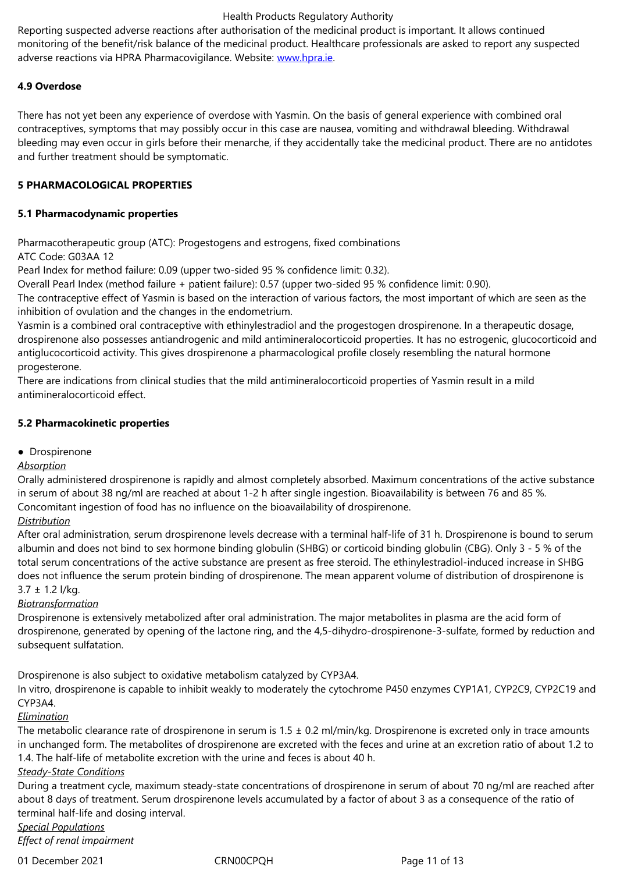adverse reactions via HPRA Pharmacovigilance. Website: www.hpra.ie.

# **4.9 Overdose**

There has not yet been any experience of overdose with [Yasmin. On t](http://www.hpra.ie/)he basis of general experience with combined oral contraceptives, symptoms that may possibly occur in this case are nausea, vomiting and withdrawal bleeding. Withdrawal bleeding may even occur in girls before their menarche, if they accidentally take the medicinal product. There are no antidotes and further treatment should be symptomatic.

# **5 PHARMACOLOGICAL PROPERTIES**

#### **5.1 Pharmacodynamic properties**

Pharmacotherapeutic group (ATC): Progestogens and estrogens, fixed combinations ATC Code: G03AA 12

Pearl Index for method failure: 0.09 (upper two-sided 95 % confidence limit: 0.32).

Overall Pearl Index (method failure + patient failure): 0.57 (upper two-sided 95 % confidence limit: 0.90).

The contraceptive effect of Yasmin is based on the interaction of various factors, the most important of which are seen as the inhibition of ovulation and the changes in the endometrium.

Yasmin is a combined oral contraceptive with ethinylestradiol and the progestogen drospirenone. In a therapeutic dosage, drospirenone also possesses antiandrogenic and mild antimineralocorticoid properties. It has no estrogenic, glucocorticoid and antiglucocorticoid activity. This gives drospirenone a pharmacological profile closely resembling the natural hormone progesterone.

There are indications from clinical studies that the mild antimineralocorticoid properties of Yasmin result in a mild antimineralocorticoid effect.

#### **5.2 Pharmacokinetic properties**

● Drospirenone

#### *Absorption*

Orally administered drospirenone is rapidly and almost completely absorbed. Maximum concentrations of the active substance in serum of about 38 ng/ml are reached at about 1-2 h after single ingestion. Bioavailability is between 76 and 85 %. Concomitant ingestion of food has no influence on the bioavailability of drospirenone.

# *Distribution*

After oral administration, serum drospirenone levels decrease with a terminal half-life of 31 h. Drospirenone is bound to serum albumin and does not bind to sex hormone binding globulin (SHBG) or corticoid binding globulin (CBG). Only 3 - 5 % of the total serum concentrations of the active substance are present as free steroid. The ethinylestradiol-induced increase in SHBG does not influence the serum protein binding of drospirenone. The mean apparent volume of distribution of drospirenone is  $3.7 \pm 1.2$  l/kg.

#### *Biotransformation*

Drospirenone is extensively metabolized after oral administration. The major metabolites in plasma are the acid form of drospirenone, generated by opening of the lactone ring, and the 4,5-dihydro-drospirenone-3-sulfate, formed by reduction and subsequent sulfatation.

Drospirenone is also subject to oxidative metabolism catalyzed by CYP3A4.

In vitro, drospirenone is capable to inhibit weakly to moderately the cytochrome P450 enzymes CYP1A1, CYP2C9, CYP2C19 and CYP3A4.

#### *Elimination*

The metabolic clearance rate of drospirenone in serum is  $1.5 \pm 0.2$  ml/min/kg. Drospirenone is excreted only in trace amounts in unchanged form. The metabolites of drospirenone are excreted with the feces and urine at an excretion ratio of about 1.2 to 1.4. The half-life of metabolite excretion with the urine and feces is about 40 h.

#### *Steady-State Conditions*

During a treatment cycle, maximum steady-state concentrations of drospirenone in serum of about 70 ng/ml are reached after about 8 days of treatment. Serum drospirenone levels accumulated by a factor of about 3 as a consequence of the ratio of terminal half-life and dosing interval.

*Special Populations Effect of renal impairment*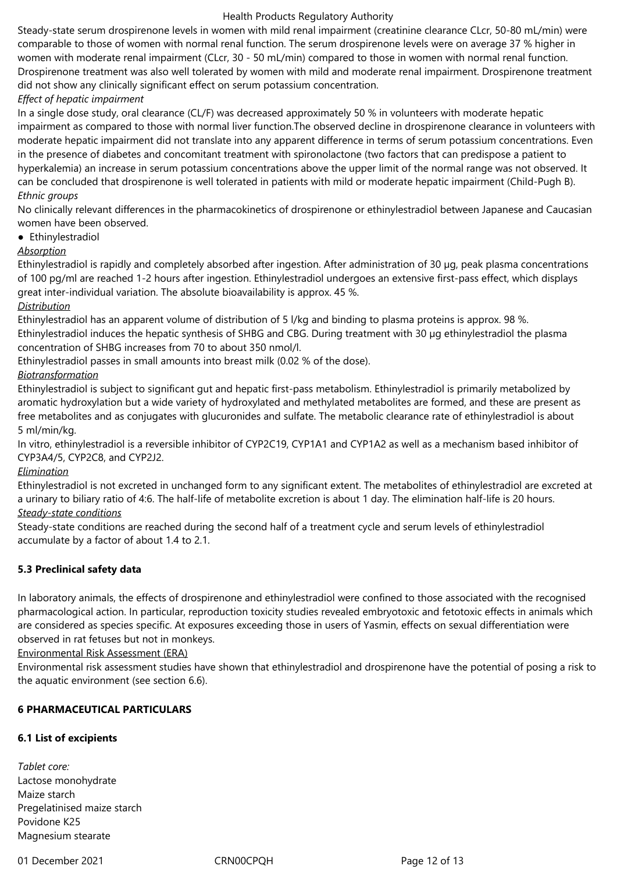Steady-state serum drospirenone levels in women with mild renal impairment (creatinine clearance CLcr, 50-80 mL/min) were comparable to those of women with normal renal function. The serum drospirenone levels were on average 37 % higher in women with moderate renal impairment (CLcr, 30 - 50 mL/min) compared to those in women with normal renal function. Drospirenone treatment was also well tolerated by women with mild and moderate renal impairment. Drospirenone treatment did not show any clinically significant effect on serum potassium concentration.

# *Effect of hepatic impairment*

In a single dose study, oral clearance (CL/F) was decreased approximately 50 % in volunteers with moderate hepatic impairment as compared to those with normal liver function.The observed decline in drospirenone clearance in volunteers with moderate hepatic impairment did not translate into any apparent difference in terms of serum potassium concentrations. Even in the presence of diabetes and concomitant treatment with spironolactone (two factors that can predispose a patient to hyperkalemia) an increase in serum potassium concentrations above the upper limit of the normal range was not observed. It can be concluded that drospirenone is well tolerated in patients with mild or moderate hepatic impairment (Child-Pugh B). *Ethnic groups*

No clinically relevant differences in the pharmacokinetics of drospirenone or ethinylestradiol between Japanese and Caucasian women have been observed.

● Ethinylestradiol

# *Absorption*

Ethinylestradiol is rapidly and completely absorbed after ingestion. After administration of 30 µg, peak plasma concentrations of 100 pg/ml are reached 1-2 hours after ingestion. Ethinylestradiol undergoes an extensive first-pass effect, which displays great inter-individual variation. The absolute bioavailability is approx. 45 %.

# *Distribution*

Ethinylestradiol has an apparent volume of distribution of 5 l/kg and binding to plasma proteins is approx. 98 %.

Ethinylestradiol induces the hepatic synthesis of SHBG and CBG. During treatment with 30 µg ethinylestradiol the plasma concentration of SHBG increases from 70 to about 350 nmol/l.

Ethinylestradiol passes in small amounts into breast milk (0.02 % of the dose).

# *Biotransformation*

Ethinylestradiol is subject to significant gut and hepatic first-pass metabolism. Ethinylestradiol is primarily metabolized by aromatic hydroxylation but a wide variety of hydroxylated and methylated metabolites are formed, and these are present as free metabolites and as conjugates with glucuronides and sulfate. The metabolic clearance rate of ethinylestradiol is about 5 ml/min/kg.

In vitro, ethinylestradiol is a reversible inhibitor of CYP2C19, CYP1A1 and CYP1A2 as well as a mechanism based inhibitor of CYP3A4/5, CYP2C8, and CYP2J2.

# *Elimination*

Ethinylestradiol is not excreted in unchanged form to any significant extent. The metabolites of ethinylestradiol are excreted at a urinary to biliary ratio of 4:6. The half-life of metabolite excretion is about 1 day. The elimination half-life is 20 hours. *Steady-state conditions*

Steady-state conditions are reached during the second half of a treatment cycle and serum levels of ethinylestradiol accumulate by a factor of about 1.4 to 2.1.

# **5.3 Preclinical safety data**

In laboratory animals, the effects of drospirenone and ethinylestradiol were confined to those associated with the recognised pharmacological action. In particular, reproduction toxicity studies revealed embryotoxic and fetotoxic effects in animals which are considered as species specific. At exposures exceeding those in users of Yasmin, effects on sexual differentiation were observed in rat fetuses but not in monkeys.

Environmental Risk Assessment (ERA)

Environmental risk assessment studies have shown that ethinylestradiol and drospirenone have the potential of posing a risk to the aquatic environment (see section 6.6).

# **6 PHARMACEUTICAL PARTICULARS**

# **6.1 List of excipients**

*Tablet core:* Lactose monohydrate Maize starch Pregelatinised maize starch Povidone K25 Magnesium stearate